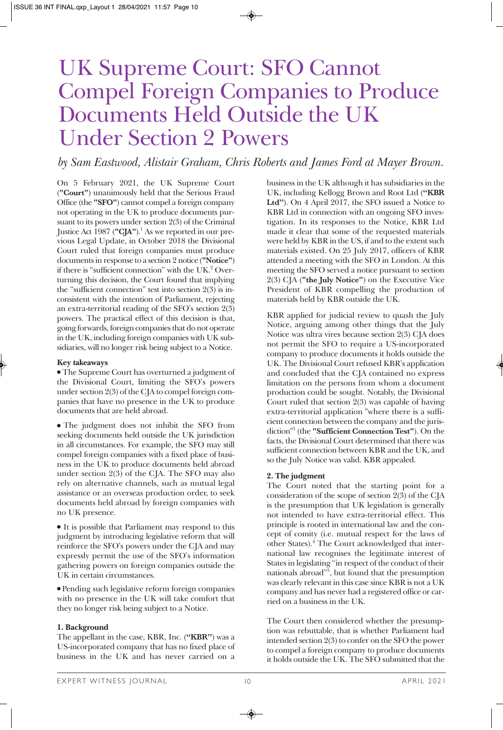# UK Supreme Court: SFO Cannot Compel Foreign Companies to Produce Documents Held Outside the UK Under Section 2 Powers

## *by Sam Eastwood, Alistair Graham, Chris Roberts and James Ford at Mayer Brown.*

On 5 February 2021, the UK Supreme Court (**"Court"**) unanimously held that the Serious Fraud Office (the **"SFO"**) cannot compel a foreign company not operating in the UK to produce documents pursuant to its powers under section 2(3) of the Criminal Justice Act 1987 (**"CJA"**).1 As we reported in our previous Legal Update, in October 2018 the Divisional Court ruled that foreign companies must produce documents in response to a section 2 notice (**"Notice"**) if there is "sufficient connection" with the UK.2 Overturning this decision, the Court found that implying the "sufficient connection" test into section 2(3) is inconsistent with the intention of Parliament, rejecting an extra-territorial reading of the SFO's section 2(3) powers. The practical effect of this decision is that, going forwards, foreign companies that do not operate in the UK, including foreign companies with UK subsidiaries, will no longer risk being subject to a Notice.

#### **Key takeaways**

• The Supreme Court has overturned a judgment of the Divisional Court, limiting the SFO's powers under section 2(3) of the CJA to compel foreign companies that have no presence in the UK to produce documents that are held abroad.

• The judgment does not inhibit the SFO from seeking documents held outside the UK jurisdiction in all circumstances. For example, the SFO may still compel foreign companies with a fixed place of business in the UK to produce documents held abroad under section 2(3) of the CJA. The SFO may also rely on alternative channels, such as mutual legal assistance or an overseas production order, to seek documents held abroad by foreign companies with no UK presence.

• It is possible that Parliament may respond to this judgment by introducing legislative reform that will reinforce the SFO's powers under the CJA and may expressly permit the use of the SFO's information gathering powers on foreign companies outside the UK in certain circumstances.

<sup>l</sup>Pending such legislative reform foreign companies with no presence in the UK will take comfort that they no longer risk being subject to a Notice.

#### **1. Background**

The appellant in the case, KBR, Inc. (**"KBR"**) was a US-incorporated company that has no fixed place of business in the UK and has never carried on a

business in the UK although it has subsidiaries in the UK, including Kellogg Brown and Root Ltd (**"KBR Ltd"**). On 4 April 2017, the SFO issued a Notice to KBR Ltd in connection with an ongoing SFO investigation. In its responses to the Notice, KBR Ltd made it clear that some of the requested materials were held by KBR in the US, if and to the extent such materials existed. On 25 July 2017, officers of KBR attended a meeting with the SFO in London. At this meeting the SFO served a notice pursuant to section 2(3) CJA (**"the July Notice"**) on the Executive Vice President of KBR compelling the production of materials held by KBR outside the UK.

KBR applied for judicial review to quash the July Notice, arguing among other things that the July Notice was ultra vires because section 2(3) CJA does not permit the SFO to require a US-incorporated company to produce documents it holds outside the UK. The Divisional Court refused KBR's application and concluded that the CJA contained no express limitation on the persons from whom a document production could be sought. Notably, the Divisional Court ruled that section 2(3) was capable of having extra-territorial application "where there is a sufficient connection between the company and the jurisdiction"3 (the **"Sufficient Connection Test"**). On the facts, the Divisional Court determined that there was sufficient connection between KBR and the UK, and so the July Notice was valid. KBR appealed.

#### **2. The judgment**

The Court noted that the starting point for a consideration of the scope of section 2(3) of the CJA is the presumption that UK legislation is generally not intended to have extra-territorial effect. This principle is rooted in international law and the concept of comity (i.e. mutual respect for the laws of other States).<sup>4</sup> The Court acknowledged that international law recognises the legitimate interest of States in legislating "in respect of the conduct of their nationals abroad"5 , but found that the presumption was clearly relevant in this case since KBR is not a UK company and has never had a registered office or carried on a business in the UK.

The Court then considered whether the presumption was rebuttable, that is whether Parliament had intended section 2(3) to confer on the SFO the power to compel a foreign company to produce documents it holds outside the UK. The SFO submitted that the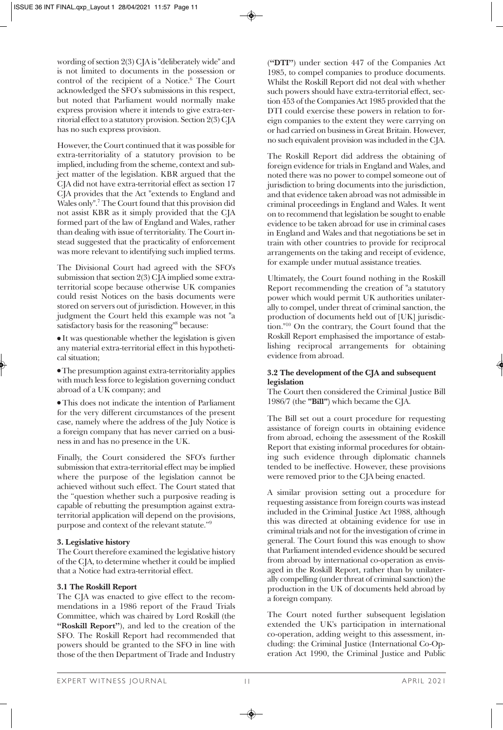wording of section 2(3) CJA is "deliberately wide" and is not limited to documents in the possession or control of the recipient of a Notice.<sup>6</sup> The Court acknowledged the SFO's submissions in this respect, but noted that Parliament would normally make express provision where it intends to give extra-territorial effect to a statutory provision. Section 2(3) CJA has no such express provision.

However, the Court continued that it was possible for extra-territoriality of a statutory provision to be implied, including from the scheme, context and subject matter of the legislation. KBR argued that the CJA did not have extra-territorial effect as section 17 CJA provides that the Act "extends to England and Wales only".7 The Court found that this provision did not assist KBR as it simply provided that the CJA formed part of the law of England and Wales, rather than dealing with issue of territoriality. The Court instead suggested that the practicality of enforcement was more relevant to identifying such implied terms.

The Divisional Court had agreed with the SFO's submission that section 2(3) CJA implied some extraterritorial scope because otherwise UK companies could resist Notices on the basis documents were stored on servers out of jurisdiction. However, in this judgment the Court held this example was not "a satisfactory basis for the reasoning<sup>18</sup> because:

 $\bullet$  It was questionable whether the legislation is given any material extra-territorial effect in this hypothetical situation;

• The presumption against extra-territoriality applies with much less force to legislation governing conduct abroad of a UK company; and

• This does not indicate the intention of Parliament for the very different circumstances of the present case, namely where the address of the July Notice is a foreign company that has never carried on a business in and has no presence in the UK.

Finally, the Court considered the SFO's further submission that extra-territorial effect may be implied where the purpose of the legislation cannot be achieved without such effect. The Court stated that the "question whether such a purposive reading is capable of rebutting the presumption against extraterritorial application will depend on the provisions, purpose and context of the relevant statute."9

#### **3. Legislative history**

The Court therefore examined the legislative history of the CJA, to determine whether it could be implied that a Notice had extra-territorial effect.

#### **3.1 The Roskill Report**

The CJA was enacted to give effect to the recommendations in a 1986 report of the Fraud Trials Committee, which was chaired by Lord Roskill (the **"Roskill Report"**), and led to the creation of the SFO. The Roskill Report had recommended that powers should be granted to the SFO in line with those of the then Department of Trade and Industry

(**"DTI"**) under section 447 of the Companies Act 1985, to compel companies to produce documents. Whilst the Roskill Report did not deal with whether such powers should have extra-territorial effect, section 453 of the Companies Act 1985 provided that the DTI could exercise these powers in relation to foreign companies to the extent they were carrying on or had carried on business in Great Britain. However, no such equivalent provision was included in the CJA.

The Roskill Report did address the obtaining of foreign evidence for trials in England and Wales, and noted there was no power to compel someone out of jurisdiction to bring documents into the jurisdiction, and that evidence taken abroad was not admissible in criminal proceedings in England and Wales. It went on to recommend that legislation be sought to enable evidence to be taken abroad for use in criminal cases in England and Wales and that negotiations be set in train with other countries to provide for reciprocal arrangements on the taking and receipt of evidence, for example under mutual assistance treaties.

Ultimately, the Court found nothing in the Roskill Report recommending the creation of "a statutory power which would permit UK authorities unilaterally to compel, under threat of criminal sanction, the production of documents held out of [UK] jurisdiction."10 On the contrary, the Court found that the Roskill Report emphasised the importance of establishing reciprocal arrangements for obtaining evidence from abroad.

#### **3.2 The development of the CJA and subsequent legislation**

The Court then considered the Criminal Justice Bill 1986/7 (the **"Bill")** which became the CJA.

The Bill set out a court procedure for requesting assistance of foreign courts in obtaining evidence from abroad, echoing the assessment of the Roskill Report that existing informal procedures for obtaining such evidence through diplomatic channels tended to be ineffective. However, these provisions were removed prior to the CJA being enacted.

A similar provision setting out a procedure for requesting assistance from foreign courts was instead included in the Criminal Justice Act 1988, although this was directed at obtaining evidence for use in criminal trials and not for the investigation of crime in general. The Court found this was enough to show that Parliament intended evidence should be secured from abroad by international co-operation as envisaged in the Roskill Report, rather than by unilaterally compelling (under threat of criminal sanction) the production in the UK of documents held abroad by a foreign company.

The Court noted further subsequent legislation extended the UK's participation in international co-operation, adding weight to this assessment, including: the Criminal Justice (International Co-Operation Act 1990, the Criminal Justice and Public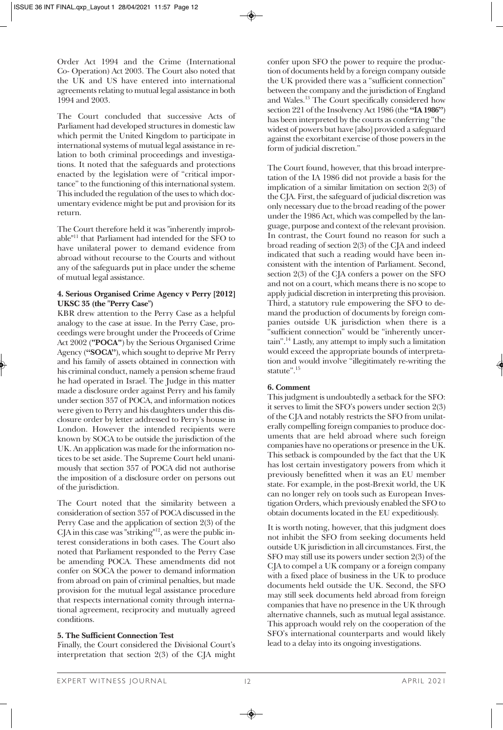Order Act 1994 and the Crime (International Co- Operation) Act 2003. The Court also noted that the UK and US have entered into international agreements relating to mutual legal assistance in both 1994 and 2003.

The Court concluded that successive Acts of Parliament had developed structures in domestic law which permit the United Kingdom to participate in international systems of mutual legal assistance in relation to both criminal proceedings and investigations. It noted that the safeguards and protections enacted by the legislation were of "critical importance" to the functioning of this international system. This included the regulation of the uses to which documentary evidence might be put and provision for its return.

The Court therefore held it was "inherently improbable"11 that Parliament had intended for the SFO to have unilateral power to demand evidence from abroad without recourse to the Courts and without any of the safeguards put in place under the scheme of mutual legal assistance.

#### **4. Serious Organised Crime Agency v Perry [2012] UKSC 35 (the "Perry Case")**

KBR drew attention to the Perry Case as a helpful analogy to the case at issue. In the Perry Case, proceedings were brought under the Proceeds of Crime Act 2002 (**"POCA"**) by the Serious Organised Crime Agency (**"SOCA"**), which sought to deprive Mr Perry and his family of assets obtained in connection with his criminal conduct, namely a pension scheme fraud he had operated in Israel. The Judge in this matter made a disclosure order against Perry and his family under section 357 of POCA, and information notices were given to Perry and his daughters under this disclosure order by letter addressed to Perry's house in London. However the intended recipients were known by SOCA to be outside the jurisdiction of the UK. An application was made for the information notices to be set aside. The Supreme Court held unanimously that section 357 of POCA did not authorise the imposition of a disclosure order on persons out of the jurisdiction.

The Court noted that the similarity between a consideration of section 357 of POCA discussed in the Perry Case and the application of section 2(3) of the  $C[A]$  in this case was "striking"<sup>12</sup>, as were the public interest considerations in both cases. The Court also noted that Parliament responded to the Perry Case be amending POCA. These amendments did not confer on SOCA the power to demand information from abroad on pain of criminal penalties, but made provision for the mutual legal assistance procedure that respects international comity through international agreement, reciprocity and mutually agreed conditions.

### **5. The Sufficient Connection Test**

Finally, the Court considered the Divisional Court's interpretation that section 2(3) of the CJA might confer upon SFO the power to require the production of documents held by a foreign company outside the UK provided there was a "sufficient connection" between the company and the jurisdiction of England and Wales.13 The Court specifically considered how section 221 of the Insolvency Act 1986 (the **"IA 1986"**) has been interpreted by the courts as conferring "the widest of powers but have [also] provided a safeguard against the exorbitant exercise of those powers in the form of judicial discretion."

The Court found, however, that this broad interpretation of the IA 1986 did not provide a basis for the implication of a similar limitation on section 2(3) of the CJA. First, the safeguard of judicial discretion was only necessary due to the broad reading of the power under the 1986 Act, which was compelled by the language, purpose and context of the relevant provision. In contrast, the Court found no reason for such a broad reading of section 2(3) of the CJA and indeed indicated that such a reading would have been inconsistent with the intention of Parliament. Second, section 2(3) of the CJA confers a power on the SFO and not on a court, which means there is no scope to apply judicial discretion in interpreting this provision. Third, a statutory rule empowering the SFO to demand the production of documents by foreign companies outside UK jurisdiction when there is a "sufficient connection" would be "inherently uncertain".14 Lastly, any attempt to imply such a limitation would exceed the appropriate bounds of interpretation and would involve "illegitimately re-writing the statute".<sup>15</sup>

#### **6. Comment**

This judgment is undoubtedly a setback for the SFO: it serves to limit the SFO's powers under section 2(3) of the CJA and notably restricts the SFO from unilaterally compelling foreign companies to produce documents that are held abroad where such foreign companies have no operations or presence in the UK. This setback is compounded by the fact that the UK has lost certain investigatory powers from which it previously benefitted when it was an EU member state. For example, in the post-Brexit world, the UK can no longer rely on tools such as European Investigation Orders, which previously enabled the SFO to obtain documents located in the EU expeditiously.

It is worth noting, however, that this judgment does not inhibit the SFO from seeking documents held outside UK jurisdiction in all circumstances. First, the SFO may still use its powers under section 2(3) of the CJA to compel a UK company or a foreign company with a fixed place of business in the UK to produce documents held outside the UK. Second, the SFO may still seek documents held abroad from foreign companies that have no presence in the UK through alternative channels, such as mutual legal assistance. This approach would rely on the cooperation of the SFO's international counterparts and would likely lead to a delay into its ongoing investigations.